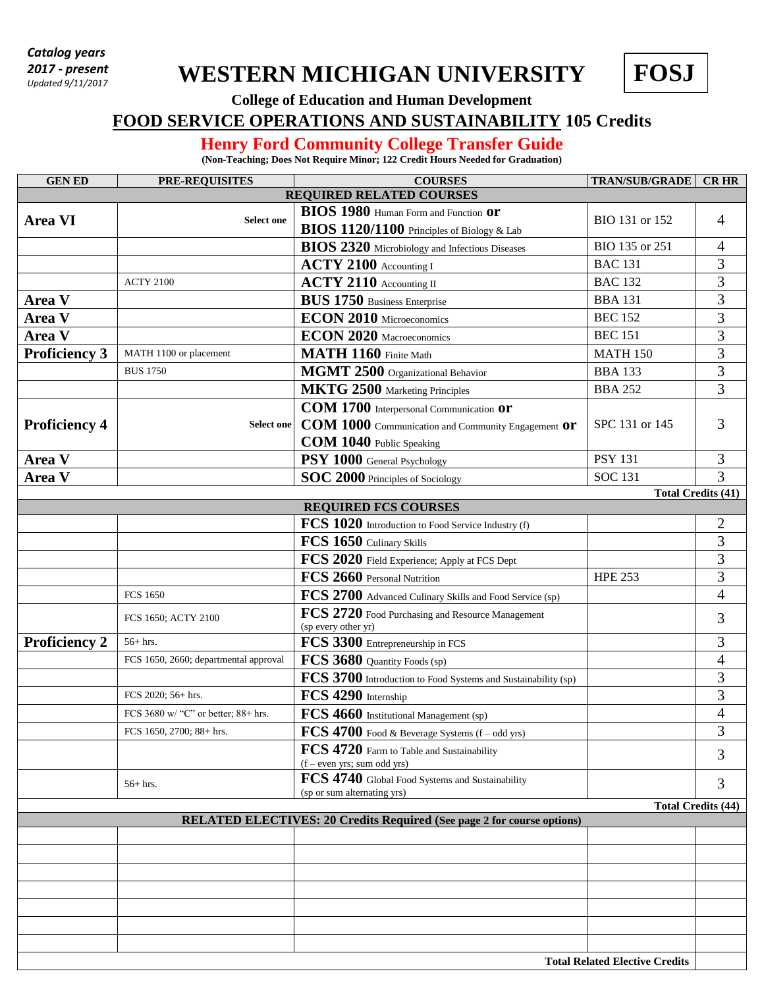*Catalog years 2017 - present Updated 9/11/2017*

## **WESTERN MICHIGAN UNIVERSITY**

**FOSJ**

**College of Education and Human Development**

## **FOOD SERVICE OPERATIONS AND SUSTAINABILITY 105 Credits**

## **Henry Ford Community College Transfer Guide**

**(Non-Teaching; Does Not Require Minor; 122 Credit Hours Needed for Graduation)**

| <b>GENED</b>                                                                  | PRE-REQUISITES                        | <b>COURSES</b>                                                                     | <b>TRAN/SUB/GRADE</b> | <b>CR HR</b>              |  |  |  |
|-------------------------------------------------------------------------------|---------------------------------------|------------------------------------------------------------------------------------|-----------------------|---------------------------|--|--|--|
| <b>REQUIRED RELATED COURSES</b>                                               |                                       |                                                                                    |                       |                           |  |  |  |
| <b>Area VI</b>                                                                | <b>Select one</b>                     | BIOS 1980 Human Form and Function Or<br>BIOS 1120/1100 Principles of Biology & Lab | BIO 131 or 152        | 4                         |  |  |  |
|                                                                               |                                       | BIOS 2320 Microbiology and Infectious Diseases                                     | BIO 135 or 251        | 4                         |  |  |  |
|                                                                               |                                       | ACTY 2100 Accounting I                                                             | <b>BAC 131</b>        | 3                         |  |  |  |
|                                                                               | <b>ACTY 2100</b>                      | ACTY 2110 Accounting II                                                            | <b>BAC 132</b>        | 3                         |  |  |  |
| Area V                                                                        |                                       | <b>BUS 1750</b> Business Enterprise                                                | <b>BBA 131</b>        | 3                         |  |  |  |
| Area V                                                                        |                                       | ECON 2010 Microeconomics                                                           | <b>BEC 152</b>        | 3                         |  |  |  |
| Area V                                                                        |                                       | <b>ECON 2020</b> Macroeconomics                                                    | <b>BEC 151</b>        | 3                         |  |  |  |
| <b>Proficiency 3</b>                                                          | MATH 1100 or placement                | MATH 1160 Finite Math                                                              | <b>MATH 150</b>       | $\overline{3}$            |  |  |  |
|                                                                               | <b>BUS 1750</b>                       | MGMT 2500 Organizational Behavior                                                  | <b>BBA 133</b>        | $\overline{3}$            |  |  |  |
|                                                                               |                                       | MKTG 2500 Marketing Principles                                                     | <b>BBA 252</b>        | 3                         |  |  |  |
|                                                                               |                                       | COM 1700 Interpersonal Communication Or                                            |                       |                           |  |  |  |
| <b>Proficiency 4</b>                                                          | <b>Select one</b>                     | COM 1000 Communication and Community Engagement Or                                 | SPC 131 or 145        | 3                         |  |  |  |
|                                                                               |                                       | COM 1040 Public Speaking                                                           |                       |                           |  |  |  |
| Area V                                                                        |                                       | PSY 1000 General Psychology                                                        | <b>PSY 131</b>        | 3                         |  |  |  |
| Area V                                                                        |                                       | SOC 2000 Principles of Sociology                                                   | <b>SOC 131</b>        | 3                         |  |  |  |
| <b>Total Credits (41)</b>                                                     |                                       |                                                                                    |                       |                           |  |  |  |
|                                                                               |                                       | <b>REQUIRED FCS COURSES</b>                                                        |                       |                           |  |  |  |
|                                                                               |                                       | FCS 1020 Introduction to Food Service Industry (f)                                 |                       | $\overline{c}$            |  |  |  |
|                                                                               |                                       | FCS 1650 Culinary Skills                                                           |                       | 3                         |  |  |  |
|                                                                               |                                       | FCS 2020 Field Experience; Apply at FCS Dept                                       |                       | 3                         |  |  |  |
|                                                                               |                                       | FCS 2660 Personal Nutrition                                                        | <b>HPE 253</b>        | 3                         |  |  |  |
|                                                                               | <b>FCS 1650</b>                       | FCS 2700 Advanced Culinary Skills and Food Service (sp)                            |                       | $\overline{4}$            |  |  |  |
|                                                                               | FCS 1650; ACTY 2100                   | FCS 2720 Food Purchasing and Resource Management<br>(sp every other yr)            |                       | 3                         |  |  |  |
| <b>Proficiency 2</b>                                                          | $56+$ hrs.                            | FCS 3300 Entrepreneurship in FCS                                                   |                       | 3                         |  |  |  |
|                                                                               | FCS 1650, 2660; departmental approval | FCS 3680 Quantity Foods (sp)                                                       |                       | $\overline{4}$            |  |  |  |
|                                                                               |                                       | FCS 3700 Introduction to Food Systems and Sustainability (sp)                      |                       | 3                         |  |  |  |
|                                                                               | FCS 2020; 56+ hrs.                    | FCS 4290 Internship                                                                |                       | 3                         |  |  |  |
|                                                                               | FCS 3680 w/ "C" or better; 88+ hrs.   | FCS 4660 Institutional Management (sp)                                             |                       | 4                         |  |  |  |
|                                                                               | FCS 1650, 2700; 88+ hrs.              | $\textbf{FCS 4700}$ Food & Beverage Systems (f – odd yrs)                          |                       | 3                         |  |  |  |
|                                                                               |                                       | FCS 4720 Farm to Table and Sustainability<br>$(f$ – even yrs; sum odd yrs)         |                       | 3                         |  |  |  |
|                                                                               | $56+$ hrs.                            | FCS 4740 Global Food Systems and Sustainability<br>(sp or sum alternating yrs)     |                       | 3                         |  |  |  |
|                                                                               |                                       |                                                                                    |                       | <b>Total Credits (44)</b> |  |  |  |
| <b>RELATED ELECTIVES: 20 Credits Required (See page 2 for course options)</b> |                                       |                                                                                    |                       |                           |  |  |  |
|                                                                               |                                       |                                                                                    |                       |                           |  |  |  |
|                                                                               |                                       |                                                                                    |                       |                           |  |  |  |
|                                                                               |                                       |                                                                                    |                       |                           |  |  |  |
|                                                                               |                                       |                                                                                    |                       |                           |  |  |  |
|                                                                               |                                       |                                                                                    |                       |                           |  |  |  |
|                                                                               |                                       |                                                                                    |                       |                           |  |  |  |
|                                                                               |                                       |                                                                                    |                       |                           |  |  |  |
| <b>Total Related Elective Credits</b>                                         |                                       |                                                                                    |                       |                           |  |  |  |